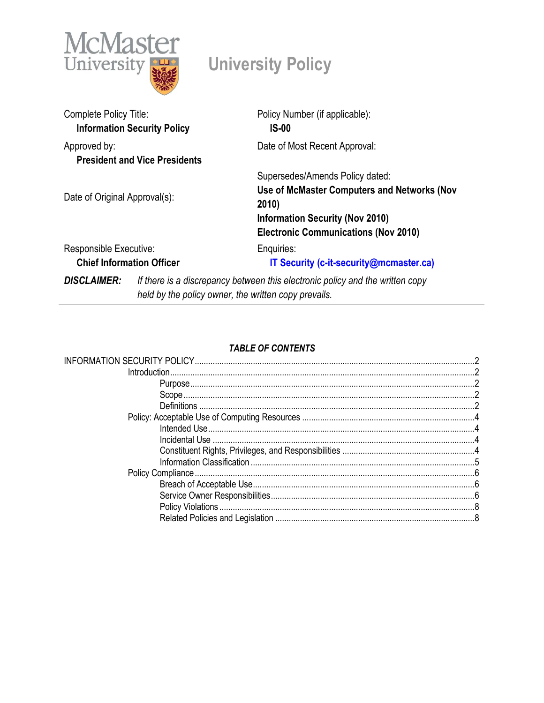

# **University Policy**

| Complete Policy Title:                                     | <b>Information Security Policy</b>                                            | Policy Number (if applicable):<br>$IS-00$                                                                                                                                        |
|------------------------------------------------------------|-------------------------------------------------------------------------------|----------------------------------------------------------------------------------------------------------------------------------------------------------------------------------|
| Approved by:                                               | <b>President and Vice Presidents</b>                                          | Date of Most Recent Approval:                                                                                                                                                    |
| Date of Original Approval(s):                              |                                                                               | Supersedes/Amends Policy dated:<br>Use of McMaster Computers and Networks (Nov<br>2010)<br><b>Information Security (Nov 2010)</b><br><b>Electronic Communications (Nov 2010)</b> |
| Responsible Executive:<br><b>Chief Information Officer</b> |                                                                               | Enquiries:<br>IT Security (c-it-security@mcmaster.ca)                                                                                                                            |
| <b>DISCLAIMER:</b>                                         | If there is a discrepancy between this electronic policy and the written copy |                                                                                                                                                                                  |

*held by the policy owner, the written copy prevails.*

## *TABLE OF CONTENTS*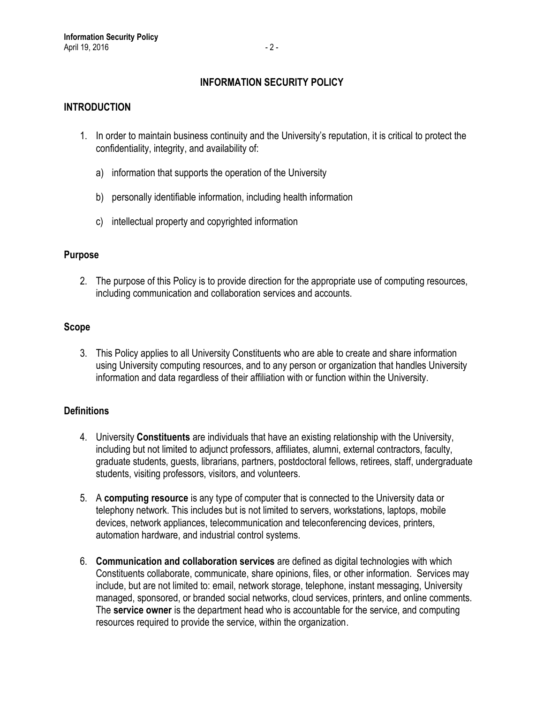## **INFORMATION SECURITY POLICY**

## <span id="page-1-1"></span><span id="page-1-0"></span>**INTRODUCTION**

- 1. In order to maintain business continuity and the University's reputation, it is critical to protect the confidentiality, integrity, and availability of:
	- a) information that supports the operation of the University
	- b) personally identifiable information, including health information
	- c) intellectual property and copyrighted information

#### <span id="page-1-2"></span>**Purpose**

2. The purpose of this Policy is to provide direction for the appropriate use of computing resources, including communication and collaboration services and accounts.

#### <span id="page-1-3"></span>**Scope**

3. This Policy applies to all University Constituents who are able to create and share information using University computing resources, and to any person or organization that handles University information and data regardless of their affiliation with or function within the University.

#### <span id="page-1-4"></span>**Definitions**

- 4. University **Constituents** are individuals that have an existing relationship with the University, including but not limited to adjunct professors, affiliates, alumni, external contractors, faculty, graduate students, guests, librarians, partners, postdoctoral fellows, retirees, staff, undergraduate students, visiting professors, visitors, and volunteers.
- 5. A **computing resource** is any type of computer that is connected to the University data or telephony network. This includes but is not limited to servers, workstations, laptops, mobile devices, network appliances, telecommunication and teleconferencing devices, printers, automation hardware, and industrial control systems.
- 6. **Communication and collaboration services** are defined as digital technologies with which Constituents collaborate, communicate, share opinions, files, or other information. Services may include, but are not limited to: email, network storage, telephone, instant messaging, University managed, sponsored, or branded social networks, cloud services, printers, and online comments. The **service owner** is the department head who is accountable for the service, and computing resources required to provide the service, within the organization.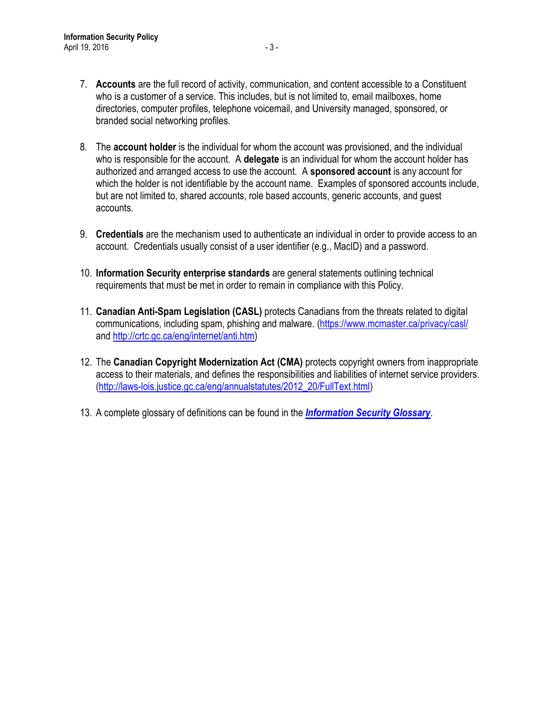- 7. **Accounts** are the full record of activity, communication, and content accessible to a Constituent who is a customer of a service. This includes, but is not limited to, email mailboxes, home directories, computer profiles, telephone voicemail, and University managed, sponsored, or branded social networking profiles.
- 8. The **account holder** is the individual for whom the account was provisioned, and the individual who is responsible for the account. A **delegate** is an individual for whom the account holder has authorized and arranged access to use the account. A **sponsored account** is any account for which the holder is not identifiable by the account name. Examples of sponsored accounts include, but are not limited to, shared accounts, role based accounts, generic accounts, and guest accounts.
- 9. **Credentials** are the mechanism used to authenticate an individual in order to provide access to an account. Credentials usually consist of a user identifier (e.g., MacID) and a password.
- 10. **Information Security enterprise standards** are general statements outlining technical requirements that must be met in order to remain in compliance with this Policy.
- 11. **Canadian Anti-Spam Legislation (CASL)** protects Canadians from the threats related to digital communications, including spam, phishing and malware. [\(https://www.mcmaster.ca/privacy/casl/](https://www.mcmaster.ca/privacy/casl/) and http://crtc.gc.ca/eng[/internet/](http://crtc.gc.ca/eng/internet/anti.htm)anti.htm)
- 12. The **Canadian Copyright Modernization Act (CMA)** protects copyright owners from inappropriate access to their materials, and defines the responsibilities and liabilities of internet service providers. [\(http://laws-lois.justice.gc.ca/eng/annualstatutes/2012\\_20/FullText.html\)](http://laws-lois.justice.gc.ca/eng/annualstatutes/2012_20/FullText.html)
- 13. A complete glossary of definitions can be found in the *[Information Security Glossary](https://informationsecurity.mcmaster.ca/policy/glossary/)*.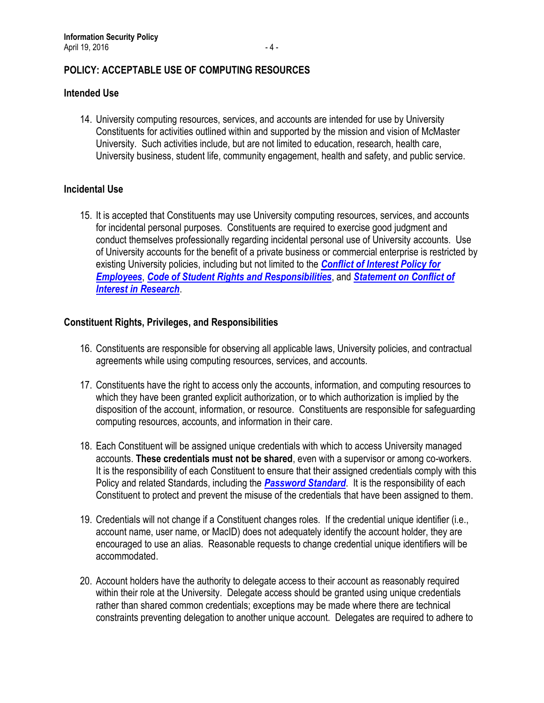## <span id="page-3-0"></span>**POLICY: ACCEPTABLE USE OF COMPUTING RESOURCES**

#### <span id="page-3-1"></span>**Intended Use**

14. University computing resources, services, and accounts are intended for use by University Constituents for activities outlined within and supported by the mission and vision of McMaster University. Such activities include, but are not limited to education, research, health care, University business, student life, community engagement, health and safety, and public service.

### <span id="page-3-2"></span>**Incidental Use**

15. It is accepted that Constituents may use University computing resources, services, and accounts for incidental personal purposes. Constituents are required to exercise good judgment and conduct themselves professionally regarding incidental personal use of University accounts. Use of University accounts for the benefit of a private business or commercial enterprise is restricted by existing University policies, including but not limited to the *[Conflict of Interest Policy for](http://www.mcmaster.ca/policy/Employee/Conflict_of_Interest_Policy.pdf)  [Employees](http://www.mcmaster.ca/policy/Employee/Conflict_of_Interest_Policy.pdf)*, *[Code of Student Rights and Responsibilities](http://www.mcmaster.ca/policy/Students-AcademicStudies/Code_of_Student_Rights_and_Responsibilities.pdf)*, and *[Statement on Conflict of](http://www.mcmaster.ca/policy/faculty/Research/StatementOnConflictOfInterestInResearch.pdf)  [Interest in Research](http://www.mcmaster.ca/policy/faculty/Research/StatementOnConflictOfInterestInResearch.pdf)*.

### <span id="page-3-3"></span>**Constituent Rights, Privileges, and Responsibilities**

- 16. Constituents are responsible for observing all applicable laws, University policies, and contractual agreements while using computing resources, services, and accounts.
- 17. Constituents have the right to access only the accounts, information, and computing resources to which they have been granted explicit authorization, or to which authorization is implied by the disposition of the account, information, or resource. Constituents are responsible for safeguarding computing resources, accounts, and information in their care.
- 18. Each Constituent will be assigned unique credentials with which to access University managed accounts. **These credentials must not be shared**, even with a supervisor or among co-workers. It is the responsibility of each Constituent to ensure that their assigned credentials comply with this Policy and related Standards, including the *[Password Standard](https://informationsecurity.mcmaster.ca/standards/passwords/)*. It is the responsibility of each Constituent to protect and prevent the misuse of the credentials that have been assigned to them.
- 19. Credentials will not change if a Constituent changes roles. If the credential unique identifier (i.e., account name, user name, or MacID) does not adequately identify the account holder, they are encouraged to use an alias. Reasonable requests to change credential unique identifiers will be accommodated.
- 20. Account holders have the authority to delegate access to their account as reasonably required within their role at the University. Delegate access should be granted using unique credentials rather than shared common credentials; exceptions may be made where there are technical constraints preventing delegation to another unique account. Delegates are required to adhere to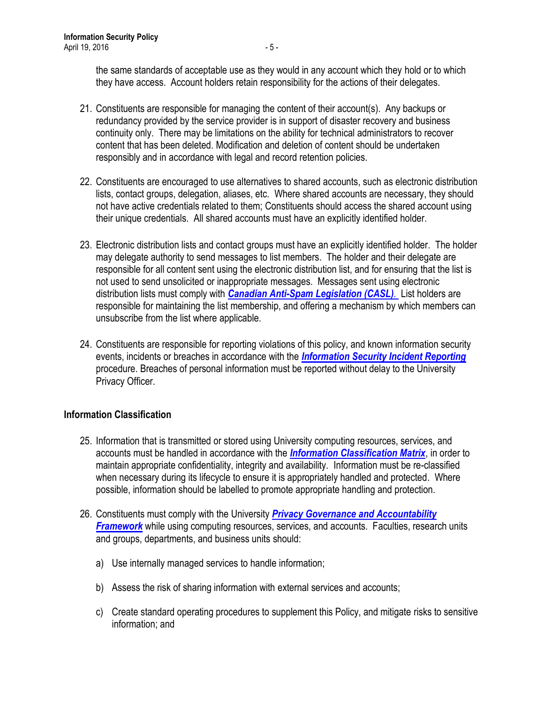the same standards of acceptable use as they would in any account which they hold or to which they have access. Account holders retain responsibility for the actions of their delegates.

- 21. Constituents are responsible for managing the content of their account(s). Any backups or redundancy provided by the service provider is in support of disaster recovery and business continuity only. There may be limitations on the ability for technical administrators to recover content that has been deleted. Modification and deletion of content should be undertaken responsibly and in accordance with legal and record retention policies.
- 22. Constituents are encouraged to use alternatives to shared accounts, such as electronic distribution lists, contact groups, delegation, aliases, etc. Where shared accounts are necessary, they should not have active credentials related to them; Constituents should access the shared account using their unique credentials. All shared accounts must have an explicitly identified holder.
- 23. Electronic distribution lists and contact groups must have an explicitly identified holder. The holder may delegate authority to send messages to list members. The holder and their delegate are responsible for all content sent using the electronic distribution list, and for ensuring that the list is not used to send unsolicited or inappropriate messages. Messages sent using electronic distribution lists must comply with *[Canadian Anti-Spam](http://crtc.gc.ca/eng/internet/anti.htm) Legislation (CASL)*. List holders are responsible for maintaining the list membership, and offering a mechanism by which members can unsubscribe from the list where applicable.
- 24. Constituents are responsible for reporting violations of this policy, and known information security events, incidents or breaches in accordance with the *[Information Security Incident Reporting](https://informationsecurity.mcmaster.ca/incidentreporting/)* procedure. Breaches of personal information must be reported without delay to the University Privacy Officer.

## <span id="page-4-0"></span>**Information Classification**

- 25. Information that is transmitted or stored using University computing resources, services, and accounts must be handled in accordance with the *[Information Classification Matrix](https://informationsecurity.mcmaster.ca/procedures/infoclassmatrix/)*, in order to maintain appropriate confidentiality, integrity and availability. Information must be re-classified when necessary during its lifecycle to ensure it is appropriately handled and protected. Where possible, information should be labelled to promote appropriate handling and protection.
- 26. Constituents must comply with the University *[Privacy Governance and Accountability](http://www.mcmaster.ca/privacy/privacy/privacy-index.html)  [Framework](http://www.mcmaster.ca/privacy/privacy/privacy-index.html)* while using computing resources, services, and accounts. Faculties, research units and groups, departments, and business units should:
	- a) Use internally managed services to handle information;
	- b) Assess the risk of sharing information with external services and accounts;
	- c) Create standard operating procedures to supplement this Policy, and mitigate risks to sensitive information; and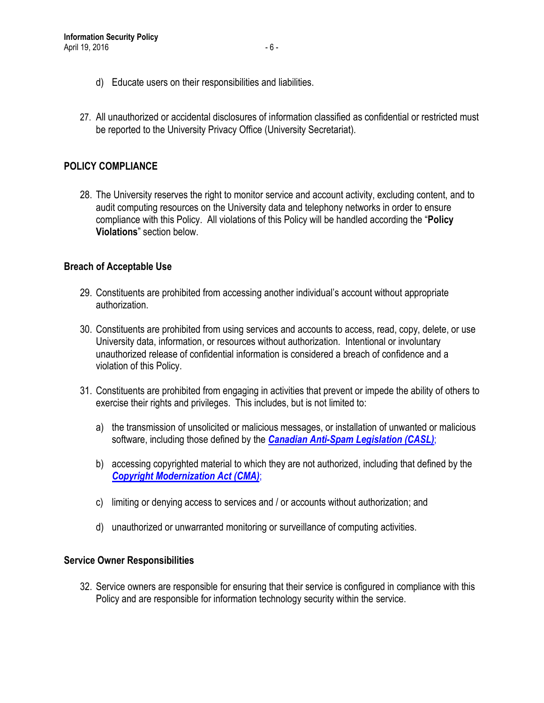- d) Educate users on their responsibilities and liabilities.
- 27. All unauthorized or accidental disclosures of information classified as confidential or restricted must be reported to the University Privacy Office (University Secretariat).

## <span id="page-5-0"></span>**POLICY COMPLIANCE**

28. The University reserves the right to monitor service and account activity, excluding content, and to audit computing resources on the University data and telephony networks in order to ensure compliance with this Policy. All violations of this Policy will be handled according the "**Policy Violations**" section below.

#### <span id="page-5-1"></span>**Breach of Acceptable Use**

- 29. Constituents are prohibited from accessing another individual's account without appropriate authorization.
- 30. Constituents are prohibited from using services and accounts to access, read, copy, delete, or use University data, information, or resources without authorization. Intentional or involuntary unauthorized release of confidential information is considered a breach of confidence and a violation of this Policy.
- 31. Constituents are prohibited from engaging in activities that prevent or impede the ability of others to exercise their rights and privileges. This includes, but is not limited to:
	- a) the transmission of unsolicited or malicious messages, or installation of unwanted or malicious software, including those defined by the *[Canadian Anti-Spam](http://crtc.gc.ca/eng/internet/anti.htm) Legislation (CASL)*;
	- b) accessing copyrighted material to which they are not authorized, including that defined by the *[Copyright Modernization Act \(CMA\)](http://laws-lois.justice.gc.ca/eng/annualstatutes/2012_20/FullText.html)*;
	- c) limiting or denying access to services and / or accounts without authorization; and
	- d) unauthorized or unwarranted monitoring or surveillance of computing activities.

#### <span id="page-5-2"></span>**Service Owner Responsibilities**

32. Service owners are responsible for ensuring that their service is configured in compliance with this Policy and are responsible for information technology security within the service.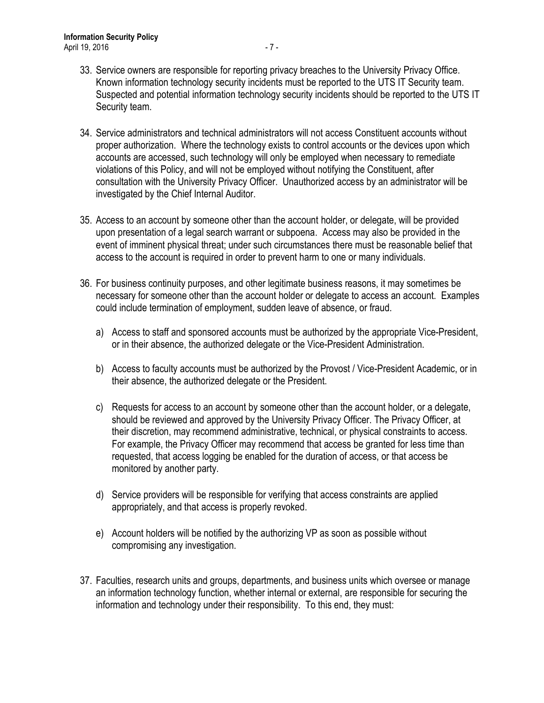- 33. Service owners are responsible for reporting privacy breaches to the University Privacy Office. Known information technology security incidents must be reported to the UTS IT Security team. Suspected and potential information technology security incidents should be reported to the UTS IT Security team.
- 34. Service administrators and technical administrators will not access Constituent accounts without proper authorization. Where the technology exists to control accounts or the devices upon which accounts are accessed, such technology will only be employed when necessary to remediate violations of this Policy, and will not be employed without notifying the Constituent, after consultation with the University Privacy Officer. Unauthorized access by an administrator will be investigated by the Chief Internal Auditor.
- 35. Access to an account by someone other than the account holder, or delegate, will be provided upon presentation of a legal search warrant or subpoena. Access may also be provided in the event of imminent physical threat; under such circumstances there must be reasonable belief that access to the account is required in order to prevent harm to one or many individuals.
- 36. For business continuity purposes, and other legitimate business reasons, it may sometimes be necessary for someone other than the account holder or delegate to access an account. Examples could include termination of employment, sudden leave of absence, or fraud.
	- a) Access to staff and sponsored accounts must be authorized by the appropriate Vice-President, or in their absence, the authorized delegate or the Vice-President Administration.
	- b) Access to faculty accounts must be authorized by the Provost / Vice-President Academic, or in their absence, the authorized delegate or the President.
	- c) Requests for access to an account by someone other than the account holder, or a delegate, should be reviewed and approved by the University Privacy Officer. The Privacy Officer, at their discretion, may recommend administrative, technical, or physical constraints to access. For example, the Privacy Officer may recommend that access be granted for less time than requested, that access logging be enabled for the duration of access, or that access be monitored by another party.
	- d) Service providers will be responsible for verifying that access constraints are applied appropriately, and that access is properly revoked.
	- e) Account holders will be notified by the authorizing VP as soon as possible without compromising any investigation.
- 37. Faculties, research units and groups, departments, and business units which oversee or manage an information technology function, whether internal or external, are responsible for securing the information and technology under their responsibility. To this end, they must: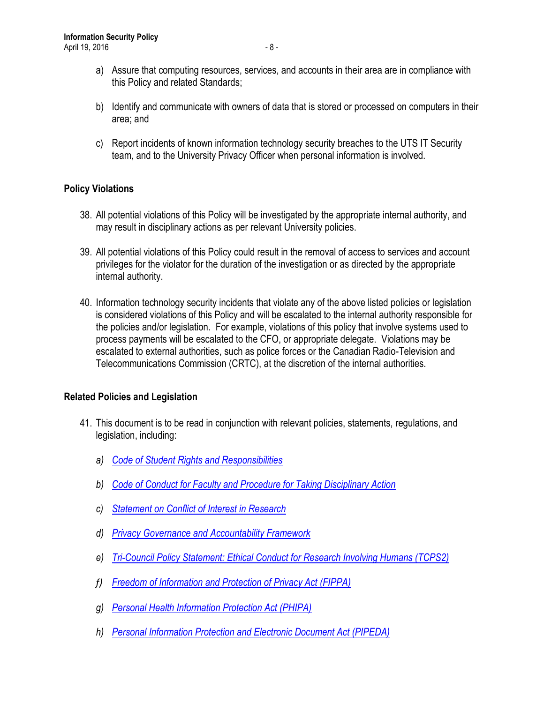- a) Assure that computing resources, services, and accounts in their area are in compliance with this Policy and related Standards;
- b) Identify and communicate with owners of data that is stored or processed on computers in their area; and
- c) Report incidents of known information technology security breaches to the UTS IT Security team, and to the University Privacy Officer when personal information is involved.

## <span id="page-7-0"></span>**Policy Violations**

- 38. All potential violations of this Policy will be investigated by the appropriate internal authority, and may result in disciplinary actions as per relevant University policies.
- 39. All potential violations of this Policy could result in the removal of access to services and account privileges for the violator for the duration of the investigation or as directed by the appropriate internal authority.
- 40. Information technology security incidents that violate any of the above listed policies or legislation is considered violations of this Policy and will be escalated to the internal authority responsible for the policies and/or legislation. For example, violations of this policy that involve systems used to process payments will be escalated to the CFO, or appropriate delegate. Violations may be escalated to external authorities, such as police forces or the Canadian Radio-Television and Telecommunications Commission (CRTC), at the discretion of the internal authorities.

## <span id="page-7-1"></span>**Related Policies and Legislation**

- 41. This document is to be read in conjunction with relevant policies, statements, regulations, and legislation, including:
	- *a) [Code of Student Rights and Responsibilities](http://www.mcmaster.ca/policy/Students-AcademicStudies/Code_of_Student_Rights_and_Responsibilities.pdf)*
	- *b) [Code of Conduct for Faculty and Procedure for Taking Disciplinary Action](http://www.mcmaster.ca/policy/faculty/Conduct/CodeofConduct-ProceduresforDisciplinaryAction.pdf)*
	- *c) [Statement on Conflict of Interest in Research](http://www.mcmaster.ca/policy/faculty/Research/StatementOnConflictOfInterestInResearch.pdf)*
	- *d) [Privacy Governance and Accountability Framework](http://www.mcmaster.ca/privacy/privacy/privacy-index.cfm)*
	- *e) [Tri-Council Policy Statement: Ethical Conduct for Research Involving Humans \(TCPS2\)](http://www.pre.ethics.gc.ca/eng/policy-politique/initiatives/tcps2-eptc2/Default/)*
	- *f) [Freedom of Information and Protection of Privacy Act \(FIPPA\)](https://www.ontario.ca/laws/statute/90f31)*
	- *g) [Personal Health Information Protection Act \(PHIPA\)](https://www.ontario.ca/laws/statute/04p03)*
	- *h) [Personal Information Protection and Electronic Document Act \(PIPEDA\)](https://www.priv.gc.ca/leg_c/leg_c_p_e.asp)*